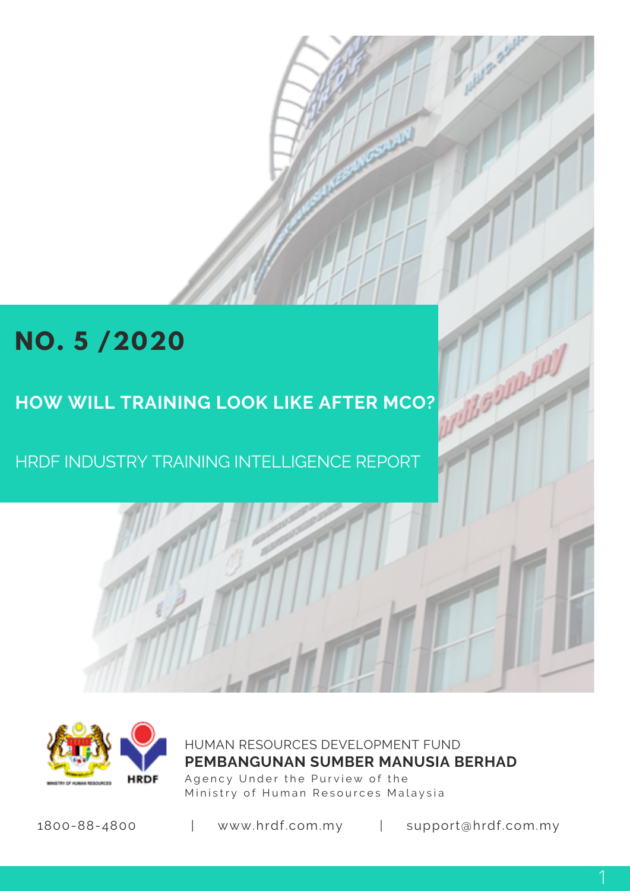# **NO. 5 /2020**

## **HOW WILL TRAINING LOOK LIKE AFTER MCO?**

HRDF INDUSTRY TRAINING INTELLIGENCE REPORT



HUMAN RESOURCES DEVELOPMENT FUND Agency Under the Purview of the Ministry of Human Resources Malaysia **PEMBANGUNAN SUMBER MANUSIA BERHAD**

1800-88-4800 | www.hrdf.com.my | support@hrdf.com.my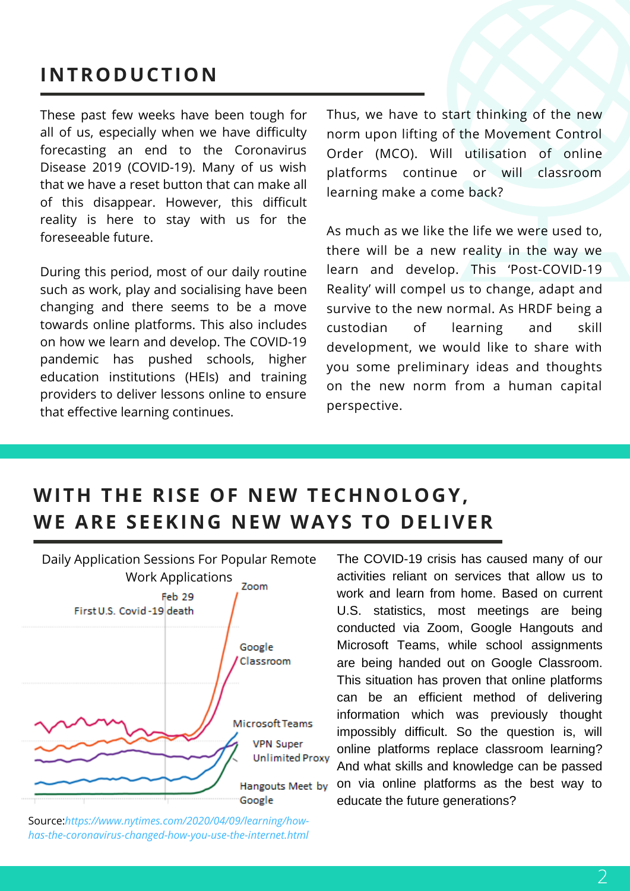### **INTRODUCTION**

These past few weeks have been tough for all of us, especially when we have difficulty forecasting an end to the Coronavirus Disease 2019 (COVID-19). Many of us wish that we have a reset button that can make all of this disappear. However, this difficult reality is here to stay with us for the foreseeable future.

During this period, most of our daily routine such as work, play and socialising have been changing and there seems to be a move towards online platforms. This also includes on how we learn and develop. The COVID-19 pandemic has pushed schools, higher education institutions (HEIs) and training providers to deliver lessons online to ensure that effective learning continues.

Thus, we have to start thinking of the new norm upon lifting of the Movement Control Order (MCO). Will utilisation of online platforms continue or will classroom learning make a come back?

As much as we like the life we were used to, there will be a new reality in the way we learn and develop. This 'Post-COVID-19 Reality' will compel us to change, adapt and survive to the new normal. As HRDF being a custodian of learning and skill development, we would like to share with you some preliminary ideas and thoughts on the new norm from a human capital perspective.

### **WITH THE RISE OF NEW TECHNOLOGY, WE ARE SEEKING NEW WAYS TO DELIVER**



Source:*https://www.nytimes.com/2020/04/09/learning/howhas-the-coronavirus-changed-how-you-use-the-internet.html*

The COVID-19 crisis has caused many of our activities reliant on services that allow us to work and learn from home. Based on current U.S. statistics, most meetings are being conducted via Zoom, Google Hangouts and Microsoft Teams, while school assignments are being handed out on Google Classroom. This situation has proven that online platforms can be an efficient method of delivering information which was previously thought impossibly difficult. So the question is, will online platforms replace classroom learning? And what skills and knowledge can be passed on via online platforms as the best way to educate the future generations?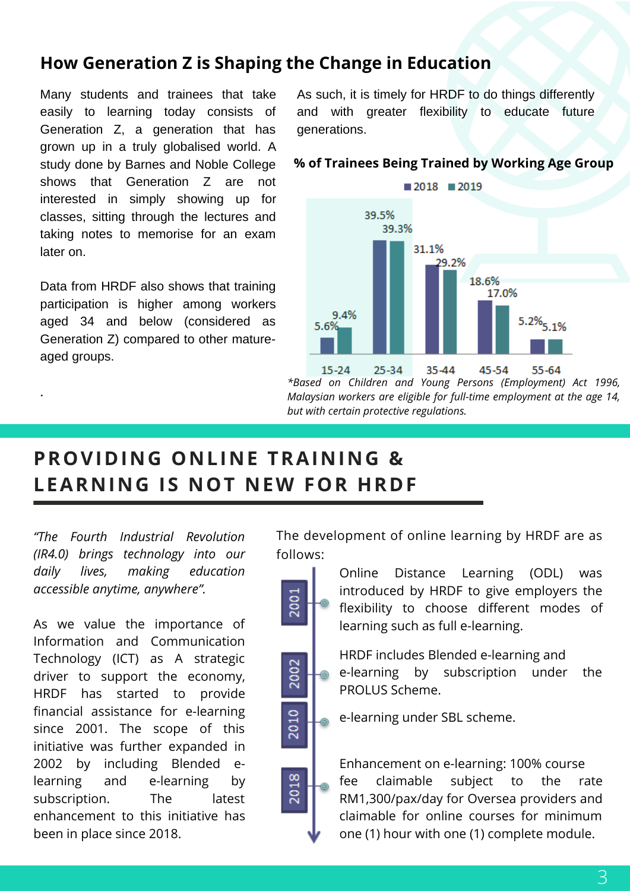#### **How Generation Z is Shaping the Change in Education**

Many students and trainees that take easily to learning today consists of Generation Z, a generation that has grown up in a truly globalised world. A study done by Barnes and Noble College shows that Generation Z are not interested in simply showing up for classes, sitting through the lectures and taking notes to memorise for an exam later on.

Data from HRDF also shows that training participation is higher among workers aged 34 and below (considered as Generation Z) compared to other matureaged groups.

.

As such, it is timely for HRDF to do things differently and with greater flexibility to educate future generations.

#### **% of Trainees Being Trained by Working Age Group**



*\*Based on Children and Young Persons (Employment) Act 1996, Malaysian workers are eligible for full-time employment at the age 14, but with certain protective regulations.*

### **PROVIDING ONLINE TRAINING & LEARNING IS NOT NEW FOR HRDF**

*"The Fourth Industrial Revolution (IR4.0) brings technology into our daily lives, making education accessible anytime, anywhere".*

As we value the importance of Information and Communication Technology (ICT) as A strategic driver to support the economy, HRDF has started to provide financial assistance for e-learning since 2001. The scope of this initiative was further expanded in 2002 by including Blended elearning and e-learning by subscription. The latest enhancement to this initiative has been in place since 2018.

The development of online learning by HRDF are as follows:



Online Distance Learning (ODL) was introduced by HRDF to give employers the flexibility to choose different modes of learning such as full e-learning.

HRDF includes Blended e-learning and e-learning by subscription under the PROLUS Scheme.

e-learning under SBL scheme.

Enhancement on e-learning: 100% course fee claimable subject to the rate RM1,300/pax/day for Oversea providers and claimable for online courses for minimum one (1) hour with one (1) complete module.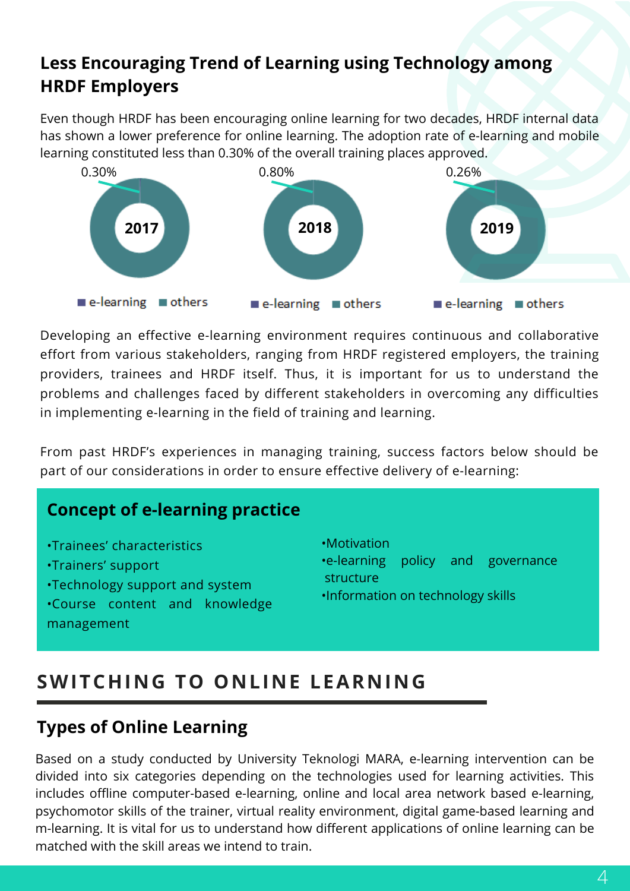### **Less Encouraging Trend of Learning using Technology among HRDF Employers**

Even though HRDF has been encouraging online learning for two decades, HRDF internal data has shown a lower preference for online learning. The adoption rate of e-learning and mobile learning constituted less than 0.30% of the overall training places approved.



Developing an effective e-learning environment requires continuous and collaborative effort from various stakeholders, ranging from HRDF registered employers, the training providers, trainees and HRDF itself. Thus, it is important for us to understand the problems and challenges faced by different stakeholders in overcoming any difficulties in implementing e-learning in the field of training and learning.

From past HRDF's experiences in managing training, success factors below should be part of our considerations in order to ensure effective delivery of e-learning:

#### **Concept of e-learning practice**

- •Trainees' characteristics
- •Trainers' support
- •Technology support and system
- •Course content and knowledge management
- •Motivation
- •e-learning policy and governance structure
- •Information on technology skills

### **SWITCHING TO ONLINE LEARNING**

#### **Types of Online Learning**

Based on a study conducted by University Teknologi MARA, e-learning intervention can be divided into six categories depending on the technologies used for learning activities. This includes offline computer-based e-learning, online and local area network based e-learning, psychomotor skills of the trainer, virtual reality environment, digital game-based learning and m-learning. It is vital for us to understand how different applications of online learning can be matched with the skill areas we intend to train.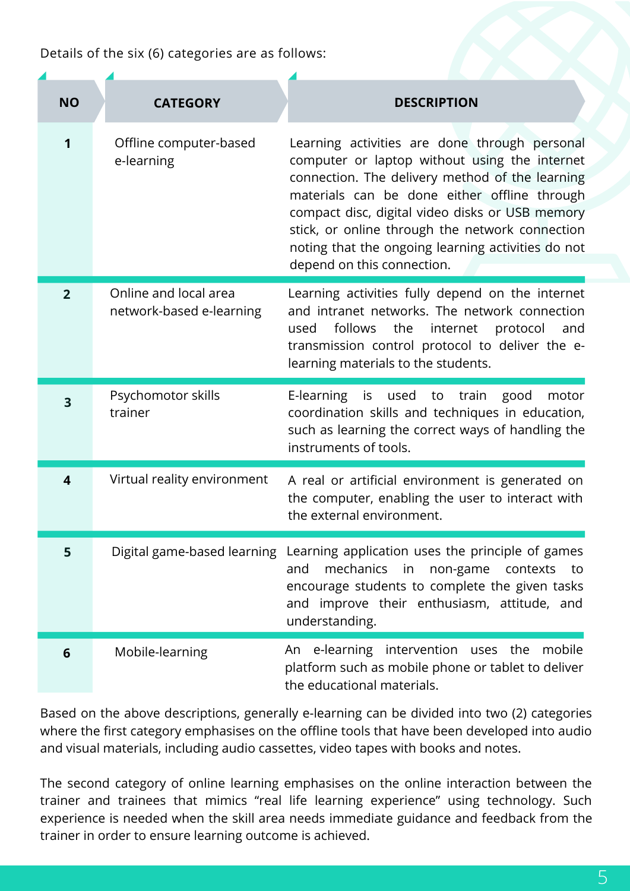Details of the six (6) categories are as follows:

| <b>NO</b>      | <b>CATEGORY</b>                                   | <b>DESCRIPTION</b>                                                                                                                                                                                                                                                                                                                                                                          |
|----------------|---------------------------------------------------|---------------------------------------------------------------------------------------------------------------------------------------------------------------------------------------------------------------------------------------------------------------------------------------------------------------------------------------------------------------------------------------------|
| 1              | Offline computer-based<br>e-learning              | Learning activities are done through personal<br>computer or laptop without using the internet<br>connection. The delivery method of the learning<br>materials can be done either offline through<br>compact disc, digital video disks or USB memory<br>stick, or online through the network connection<br>noting that the ongoing learning activities do not<br>depend on this connection. |
| $\overline{2}$ | Online and local area<br>network-based e-learning | Learning activities fully depend on the internet<br>and intranet networks. The network connection<br>follows<br>the<br>internet<br>protocol<br>and<br>used<br>transmission control protocol to deliver the e-<br>learning materials to the students.                                                                                                                                        |
| 3              | Psychomotor skills<br>trainer                     | E-learning<br>is used to train<br>good<br>motor<br>coordination skills and techniques in education,<br>such as learning the correct ways of handling the<br>instruments of tools.                                                                                                                                                                                                           |
| 4              | Virtual reality environment                       | A real or artificial environment is generated on<br>the computer, enabling the user to interact with<br>the external environment.                                                                                                                                                                                                                                                           |
| 5              | Digital game-based learning                       | Learning application uses the principle of games<br>mechanics<br>and<br>$\mathsf{in}$<br>non-game contexts<br>to to<br>encourage students to complete the given tasks<br>and improve their enthusiasm, attitude, and<br>understanding.                                                                                                                                                      |
| 6              | Mobile-learning                                   | An e-learning intervention uses the mobile<br>platform such as mobile phone or tablet to deliver<br>the educational materials.                                                                                                                                                                                                                                                              |

Based on the above descriptions, generally e-learning can be divided into two (2) categories where the first category emphasises on the offline tools that have been developed into audio and visual materials, including audio cassettes, video tapes with books and notes.

The second category of online learning emphasises on the online interaction between the trainer and trainees that mimics "real life learning experience" using technology. Such experience is needed when the skill area needs immediate guidance and feedback from the trainer in order to ensure learning outcome is achieved.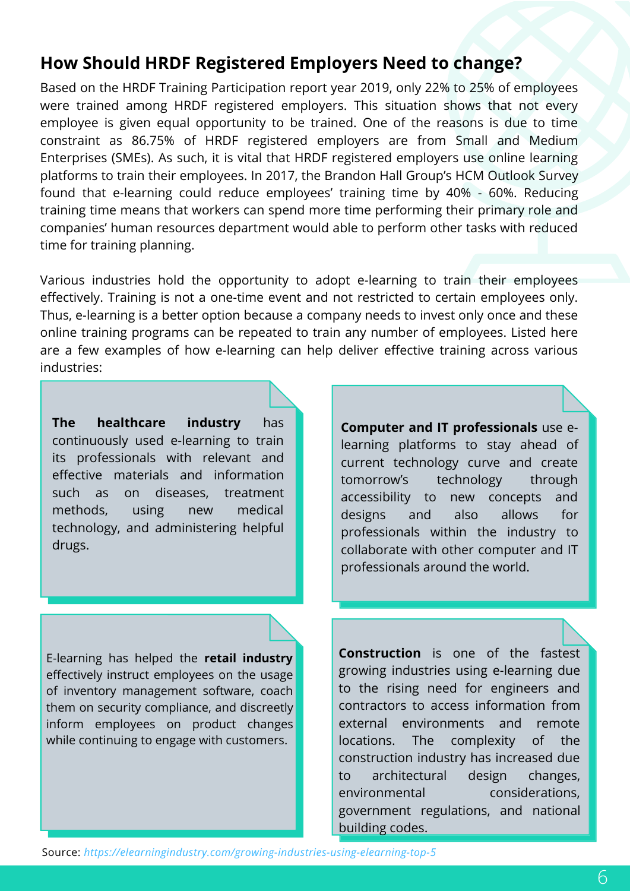#### **How Should HRDF Registered Employers Need to change?**

Based on the HRDF Training Participation report year 2019, only 22% to 25% of employees were trained among HRDF registered employers. This situation shows that not every employee is given equal opportunity to be trained. One of the reasons is due to time constraint as 86.75% of HRDF registered employers are from Small and Medium Enterprises (SMEs). As such, it is vital that HRDF registered employers use online learning platforms to train their employees. In 2017, the Brandon Hall Group's HCM Outlook Survey found that e-learning could reduce employees' training time by 40% - 60%. Reducing training time means that workers can spend more time performing their primary role and companies' human resources department would able to perform other tasks with reduced time for training planning.

Various industries hold the opportunity to adopt e-learning to train their employees effectively. Training is not a one-time event and not restricted to certain employees only. Thus, e-learning is a better option because a company needs to invest only once and these online training programs can be repeated to train any number of employees. Listed here are a few examples of how e-learning can help deliver effective training across various industries:

**The healthcare industry** has continuously used e-learning to train its professionals with relevant and effective materials and information such as on diseases, treatment methods, using new medical technology, and administering helpful drugs.

**Computer and IT professionals** use elearning platforms to stay ahead of current technology curve and create tomorrow's technology through accessibility to new concepts and designs and also allows for professionals within the industry to collaborate with other computer and IT professionals around the world.

E-learning has helped the **retail industry** effectively instruct employees on the usage of inventory management software, coach them on security compliance, and discreetly inform employees on product changes while continuing to engage with customers.

**Construction** is one of the fastest growing industries using e-learning due to the rising need for engineers and contractors to access information from external environments and remote locations. The complexity of the construction industry has increased due to architectural design changes, environmental considerations, government regulations, and national building codes.